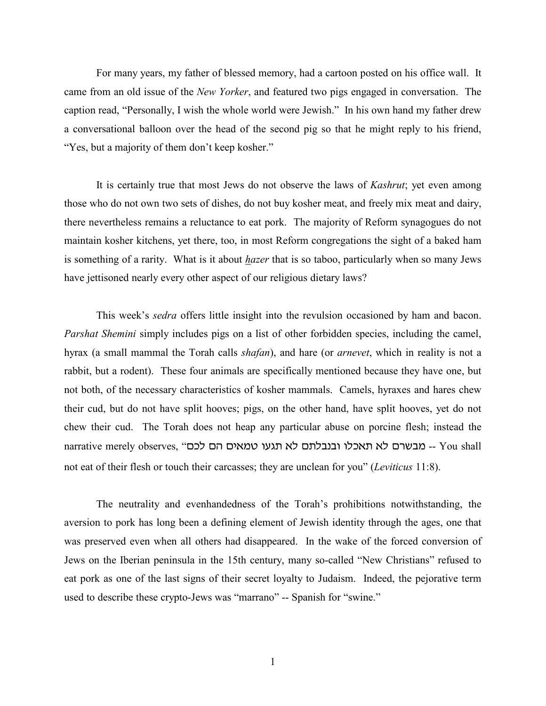For many years, my father of blessed memory, had a cartoon posted on his office wall. It came from an old issue of the *New Yorker*, and featured two pigs engaged in conversation. The caption read, "Personally, I wish the whole world were Jewish." In his own hand my father drew a conversational balloon over the head of the second pig so that he might reply to his friend, "Yes, but a majority of them don't keep kosher."

It is certainly true that most Jews do not observe the laws of *Kashrut*; yet even among those who do not own two sets of dishes, do not buy kosher meat, and freely mix meat and dairy, there nevertheless remains a reluctance to eat pork. The majority of Reform synagogues do not maintain kosher kitchens, yet there, too, in most Reform congregations the sight of a baked ham is something of a rarity. What is it about *hazer* that is so taboo, particularly when so many Jews have jettisoned nearly every other aspect of our religious dietary laws?

This week's *sedra* offers little insight into the revulsion occasioned by ham and bacon. *Parshat Shemini* simply includes pigs on a list of other forbidden species, including the camel, hyrax (a small mammal the Torah calls *shafan*), and hare (or *arnevet*, which in reality is not a rabbit, but a rodent). These four animals are specifically mentioned because they have one, but not both, of the necessary characteristics of kosher mammals. Camels, hyraxes and hares chew their cud, but do not have split hooves; pigs, on the other hand, have split hooves, yet do not chew their cud. The Torah does not heap any particular abuse on porcine flesh; instead the narrative merely observes, "כם לא תאכלו ובנבלתם לא תגעו טמאים הם לכם not eat of their flesh or touch their carcasses; they are unclean for you" (*Leviticus* 11:8).

The neutrality and evenhandedness of the Torah's prohibitions notwithstanding, the aversion to pork has long been a defining element of Jewish identity through the ages, one that was preserved even when all others had disappeared. In the wake of the forced conversion of Jews on the Iberian peninsula in the 15th century, many so-called "New Christians" refused to eat pork as one of the last signs of their secret loyalty to Judaism. Indeed, the pejorative term used to describe these crypto-Jews was "marrano" -- Spanish for "swine."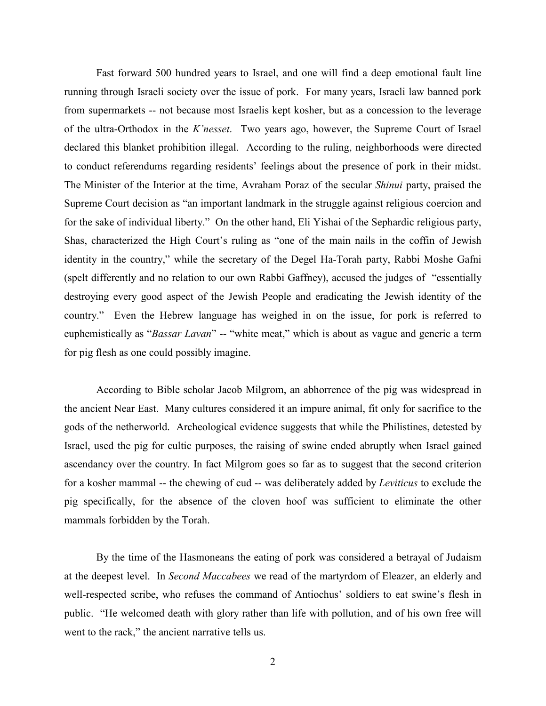Fast forward 500 hundred years to Israel, and one will find a deep emotional fault line running through Israeli society over the issue of pork. For many years, Israeli law banned pork from supermarkets -- not because most Israelis kept kosher, but as a concession to the leverage of the ultra-Orthodox in the *K'nesset*. Two years ago, however, the Supreme Court of Israel declared this blanket prohibition illegal. According to the ruling, neighborhoods were directed to conduct referendums regarding residents' feelings about the presence of pork in their midst. The Minister of the Interior at the time, Avraham Poraz of the secular *Shinui* party, praised the Supreme Court decision as "an important landmark in the struggle against religious coercion and for the sake of individual liberty." On the other hand, Eli Yishai of the Sephardic religious party, Shas, characterized the High Court's ruling as "one of the main nails in the coffin of Jewish identity in the country," while the secretary of the Degel Ha-Torah party, Rabbi Moshe Gafni (spelt differently and no relation to our own Rabbi Gaffney), accused the judges of "essentially destroying every good aspect of the Jewish People and eradicating the Jewish identity of the country." Even the Hebrew language has weighed in on the issue, for pork is referred to euphemistically as "*Bassar Lavan*" -- "white meat," which is about as vague and generic a term for pig flesh as one could possibly imagine.

According to Bible scholar Jacob Milgrom, an abhorrence of the pig was widespread in the ancient Near East. Many cultures considered it an impure animal, fit only for sacrifice to the gods of the netherworld. Archeological evidence suggests that while the Philistines, detested by Israel, used the pig for cultic purposes, the raising of swine ended abruptly when Israel gained ascendancy over the country. In fact Milgrom goes so far as to suggest that the second criterion for a kosher mammal -- the chewing of cud -- was deliberately added by *Leviticus* to exclude the pig specifically, for the absence of the cloven hoof was sufficient to eliminate the other mammals forbidden by the Torah.

By the time of the Hasmoneans the eating of pork was considered a betrayal of Judaism at the deepest level. In *Second Maccabees* we read of the martyrdom of Eleazer, an elderly and well-respected scribe, who refuses the command of Antiochus' soldiers to eat swine's flesh in public. "He welcomed death with glory rather than life with pollution, and of his own free will went to the rack," the ancient narrative tells us.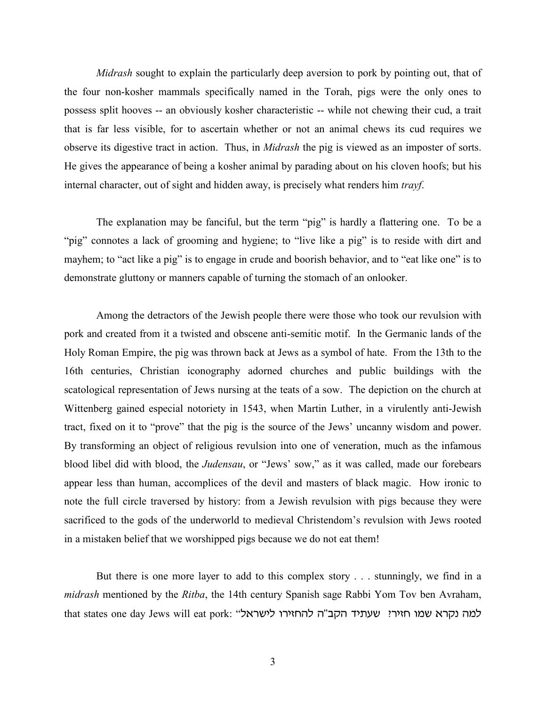*Midrash* sought to explain the particularly deep aversion to pork by pointing out, that of the four non-kosher mammals specifically named in the Torah, pigs were the only ones to possess split hooves -- an obviously kosher characteristic -- while not chewing their cud, a trait that is far less visible, for to ascertain whether or not an animal chews its cud requires we observe its digestive tract in action. Thus, in *Midrash* the pig is viewed as an imposter of sorts. He gives the appearance of being a kosher animal by parading about on his cloven hoofs; but his internal character, out of sight and hidden away, is precisely what renders him *trayf*.

The explanation may be fanciful, but the term "pig" is hardly a flattering one. To be a "pig" connotes a lack of grooming and hygiene; to "live like a pig" is to reside with dirt and mayhem; to "act like a pig" is to engage in crude and boorish behavior, and to "eat like one" is to demonstrate gluttony or manners capable of turning the stomach of an onlooker.

Among the detractors of the Jewish people there were those who took our revulsion with pork and created from it a twisted and obscene anti-semitic motif. In the Germanic lands of the Holy Roman Empire, the pig was thrown back at Jews as a symbol of hate. From the 13th to the 16th centuries, Christian iconography adorned churches and public buildings with the scatological representation of Jews nursing at the teats of a sow. The depiction on the church at Wittenberg gained especial notoriety in 1543, when Martin Luther, in a virulently anti-Jewish tract, fixed on it to "prove" that the pig is the source of the Jews' uncanny wisdom and power. By transforming an object of religious revulsion into one of veneration, much as the infamous blood libel did with blood, the *Judensau*, or "Jews' sow," as it was called, made our forebears appear less than human, accomplices of the devil and masters of black magic. How ironic to note the full circle traversed by history: from a Jewish revulsion with pigs because they were sacrificed to the gods of the underworld to medieval Christendom's revulsion with Jews rooted in a mistaken belief that we worshipped pigs because we do not eat them!

But there is one more layer to add to this complex story . . . stunningly, we find in a *midrash* mentioned by the *Ritba*, the 14th century Spanish sage Rabbi Yom Tov ben Avraham, that states one day Jews will eat pork: "למה נקרא שמו חזיר? שעתיד הקב"ה להחזירו לישראל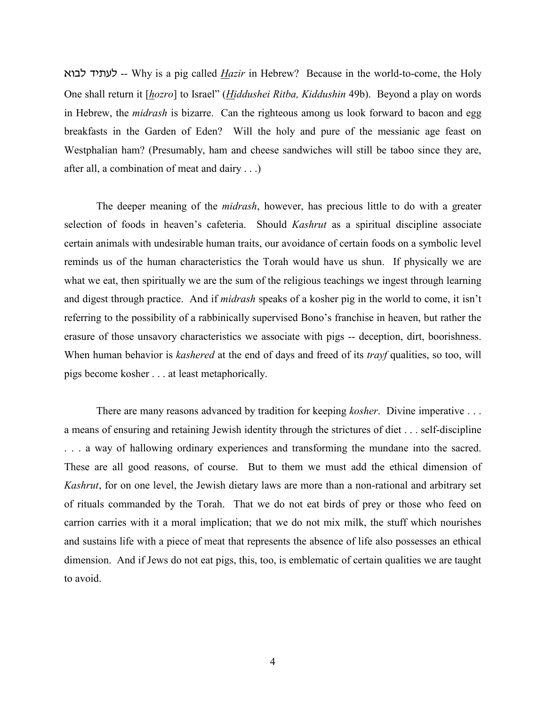tuck sh,gk -- Why is a pig called *Hazir* in Hebrew? Because in the world-to-come, the Holy One shall return it [*hozro*] to Israel" (*Hiddushei Ritba, Kiddushin* 49b). Beyond a play on words in Hebrew, the *midrash* is bizarre. Can the righteous among us look forward to bacon and egg breakfasts in the Garden of Eden? Will the holy and pure of the messianic age feast on Westphalian ham? (Presumably, ham and cheese sandwiches will still be taboo since they are, after all, a combination of meat and dairy . . .)

The deeper meaning of the *midrash*, however, has precious little to do with a greater selection of foods in heaven's cafeteria. Should *Kashrut* as a spiritual discipline associate certain animals with undesirable human traits, our avoidance of certain foods on a symbolic level reminds us of the human characteristics the Torah would have us shun. If physically we are what we eat, then spiritually we are the sum of the religious teachings we ingest through learning and digest through practice. And if *midrash* speaks of a kosher pig in the world to come, it isn't referring to the possibility of a rabbinically supervised Bono's franchise in heaven, but rather the erasure of those unsavory characteristics we associate with pigs -- deception, dirt, boorishness. When human behavior is *kashered* at the end of days and freed of its *trayf* qualities, so too, will pigs become kosher . . . at least metaphorically.

There are many reasons advanced by tradition for keeping *kosher*. Divine imperative . . . a means of ensuring and retaining Jewish identity through the strictures of diet . . . self-discipline . . . a way of hallowing ordinary experiences and transforming the mundane into the sacred. These are all good reasons, of course. But to them we must add the ethical dimension of *Kashrut*, for on one level, the Jewish dietary laws are more than a non-rational and arbitrary set of rituals commanded by the Torah. That we do not eat birds of prey or those who feed on carrion carries with it a moral implication; that we do not mix milk, the stuff which nourishes and sustains life with a piece of meat that represents the absence of life also possesses an ethical dimension. And if Jews do not eat pigs, this, too, is emblematic of certain qualities we are taught to avoid.